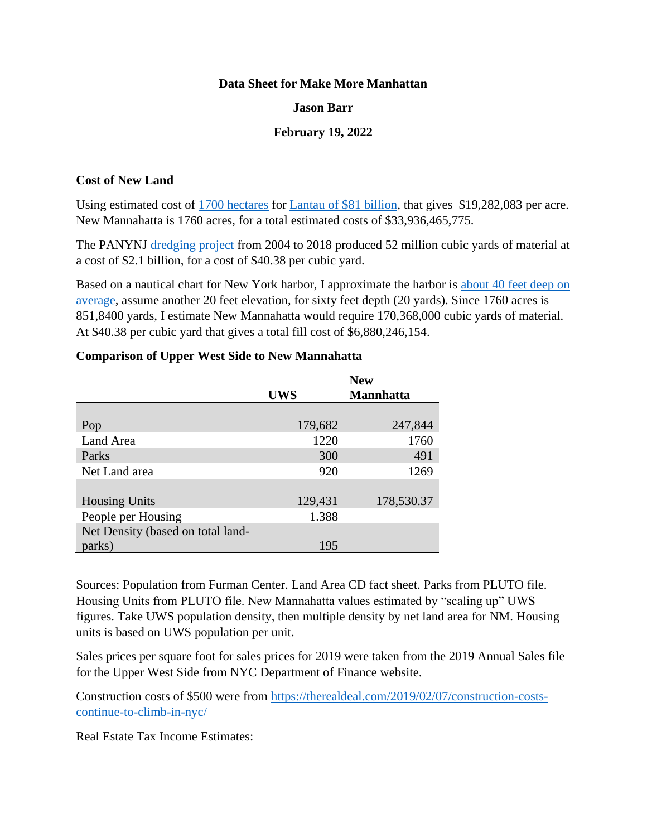### **Data Sheet for Make More Manhattan**

## **Jason Barr**

# **February 19, 2022**

### **Cost of New Land**

Using estimated cost of [1700 hectares](https://www.scmp.com/news/hong-kong/hong-kong-economy/article/3002583/lantau-tomorrow-vision-arguably-hong-kongs-most) for [Lantau of \\$81 billion,](https://www.reuters.com/business/hk-property-tycoon-wu-says-land-reclamation-will-solve-social-housing-woes-2021-05-18/) that gives \$19,282,083 per acre. New Mannahatta is 1760 acres, for a total estimated costs of \$33,936,465,775.

The PANYNJ [dredging project](https://www.nan.usace.army.mil/Media/Fact-Sheets/Fact-Sheet-Article-View/Article/487407/fact-sheet-new-york-new-jersey-harbor-50-ft-deepening/) from 2004 to 2018 produced 52 million cubic yards of material at a cost of \$2.1 billion, for a cost of \$40.38 per cubic yard.

Based on a nautical chart for New York harbor, I approximate the harbor is [about 40 feet deep on](https://www.charts.noaa.gov/OnLineViewer/12327.shtml)  [average,](https://www.charts.noaa.gov/OnLineViewer/12327.shtml) assume another 20 feet elevation, for sixty feet depth (20 yards). Since 1760 acres is 851,8400 yards, I estimate New Mannahatta would require 170,368,000 cubic yards of material. At \$40.38 per cubic yard that gives a total fill cost of \$6,880,246,154.

|                                   | <b>New</b> |                  |
|-----------------------------------|------------|------------------|
|                                   | <b>UWS</b> | <b>Mannhatta</b> |
|                                   |            |                  |
| Pop                               | 179,682    | 247,844          |
| Land Area                         | 1220       | 1760             |
| Parks                             | 300        | 491              |
| Net Land area                     | 920        | 1269             |
|                                   |            |                  |
| <b>Housing Units</b>              | 129,431    | 178,530.37       |
| People per Housing                | 1.388      |                  |
| Net Density (based on total land- |            |                  |
| parks)                            | 195        |                  |

### **Comparison of Upper West Side to New Mannahatta**

Sources: Population from Furman Center. Land Area CD fact sheet. Parks from PLUTO file. Housing Units from PLUTO file. New Mannahatta values estimated by "scaling up" UWS figures. Take UWS population density, then multiple density by net land area for NM. Housing units is based on UWS population per unit.

Sales prices per square foot for sales prices for 2019 were taken from the 2019 Annual Sales file for the Upper West Side from NYC Department of Finance website.

Construction costs of \$500 were from [https://therealdeal.com/2019/02/07/construction-costs](https://therealdeal.com/2019/02/07/construction-costs-continue-to-climb-in-nyc/)[continue-to-climb-in-nyc/](https://therealdeal.com/2019/02/07/construction-costs-continue-to-climb-in-nyc/)

Real Estate Tax Income Estimates: